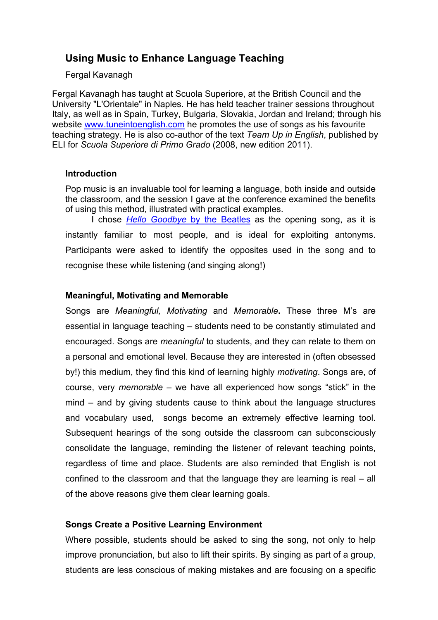# **Using Music to Enhance Language Teaching**

### Fergal Kavanagh

Fergal Kavanagh has taught at Scuola Superiore, at the British Council and the University "L'Orientale" in Naples. He has held teacher trainer sessions throughout Italy, as well as in Spain, Turkey, Bulgaria, Slovakia, Jordan and Ireland; through his website www.tuneintoenglish.com he promotes the use of songs as his favourite teaching strategy. He is also co-author of the text *Team Up in English*, published by ELI for *Scuola Superiore di Primo Grado* (2008, new edition 2011).

### **Introduction**

Pop music is an invaluable tool for learning a language, both inside and outside the classroom, and the session I gave at the conference examined the benefits of using this method, illustrated with practical examples.

I chose *Hello Goodbye* by the Beatles as the opening song, as it is instantly familiar to most people, and is ideal for exploiting antonyms. Participants were asked to identify the opposites used in the song and to recognise these while listening (and singing along!)

### **Meaningful, Motivating and Memorable**

Songs are *Meaningful, Motivating* and *Memorable***.** These three M's are essential in language teaching – students need to be constantly stimulated and encouraged. Songs are *meaningful* to students, and they can relate to them on a personal and emotional level. Because they are interested in (often obsessed by!) this medium, they find this kind of learning highly *motivating*. Songs are, of course, very *memorable* – we have all experienced how songs "stick" in the mind – and by giving students cause to think about the language structures and vocabulary used, songs become an extremely effective learning tool. Subsequent hearings of the song outside the classroom can subconsciously consolidate the language, reminding the listener of relevant teaching points, regardless of time and place. Students are also reminded that English is not confined to the classroom and that the language they are learning is real – all of the above reasons give them clear learning goals.

### **Songs Create a Positive Learning Environment**

Where possible, students should be asked to sing the song, not only to help improve pronunciation, but also to lift their spirits. By singing as part of a group, students are less conscious of making mistakes and are focusing on a specific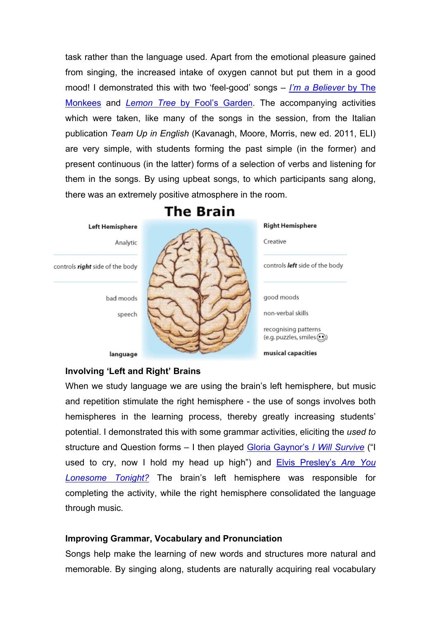task rather than the language used. Apart from the emotional pleasure gained from singing, the increased intake of oxygen cannot but put them in a good mood! I demonstrated this with two 'feel-good' songs – *I'm a Believer* by The Monkees and *Lemon Tree* by Fool's Garden. The accompanying activities which were taken, like many of the songs in the session, from the Italian publication *Team Up in English* (Kavanagh, Moore, Morris, new ed. 2011, ELI) are very simple, with students forming the past simple (in the former) and present continuous (in the latter) forms of a selection of verbs and listening for them in the songs. By using upbeat songs, to which participants sang along, there was an extremely positive atmosphere in the room.



**The Brain** 

### **Involving 'Left and Right' Brains**

When we study language we are using the brain's left hemisphere, but music and repetition stimulate the right hemisphere - the use of songs involves both hemispheres in the learning process, thereby greatly increasing students' potential. I demonstrated this with some grammar activities, eliciting the *used to* structure and Question forms – I then played Gloria Gaynor's *I Will Survive* ("I used to cry, now I hold my head up high") and Elvis Presley's *Are You Lonesome Tonight?* The brain's left hemisphere was responsible for completing the activity, while the right hemisphere consolidated the language through music.

## **Improving Grammar, Vocabulary and Pronunciation**

Songs help make the learning of new words and structures more natural and memorable. By singing along, students are naturally acquiring real vocabulary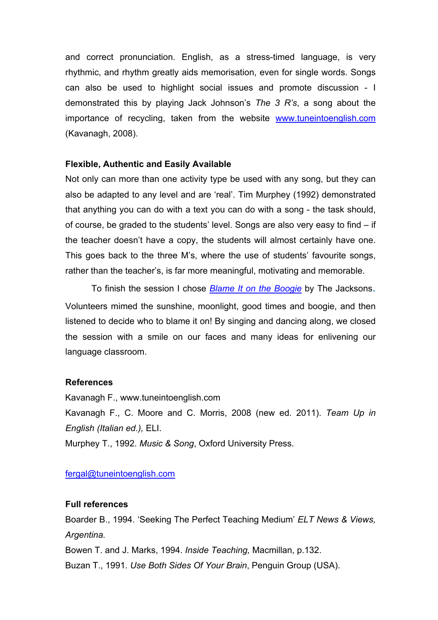and correct pronunciation. English, as a stress-timed language, is very rhythmic, and rhythm greatly aids memorisation, even for single words. Songs can also be used to highlight social issues and promote discussion - I demonstrated this by playing Jack Johnson's *The 3 R's*, a song about the importance of recycling, taken from the website www.tuneintoenglish.com (Kavanagh, 2008).

### **Flexible, Authentic and Easily Available**

Not only can more than one activity type be used with any song, but they can also be adapted to any level and are 'real'. Tim Murphey (1992) demonstrated that anything you can do with a text you can do with a song - the task should, of course, be graded to the students' level. Songs are also very easy to find – if the teacher doesn't have a copy, the students will almost certainly have one. This goes back to the three M's, where the use of students' favourite songs, rather than the teacher's, is far more meaningful, motivating and memorable.

To finish the session I chose *Blame It on the Boogie* by The Jacksons. Volunteers mimed the sunshine, moonlight, good times and boogie, and then listened to decide who to blame it on! By singing and dancing along, we closed the session with a smile on our faces and many ideas for enlivening our language classroom.

### **References**

Kavanagh F., www.tuneintoenglish.com Kavanagh F., C. Moore and C. Morris, 2008 (new ed. 2011). *Team Up in English (Italian ed.),* ELI. Murphey T., 1992. *Music & Song*, Oxford University Press.

## fergal@tuneintoenglish.com

## **Full references**

Boarder B., 1994. 'Seeking The Perfect Teaching Medium' *ELT News & Views, Argentina.*

Bowen T. and J. Marks, 1994. *Inside Teaching,* Macmillan, p.132.

Buzan T., 1991. *Use Both Sides Of Your Brain*, Penguin Group (USA).